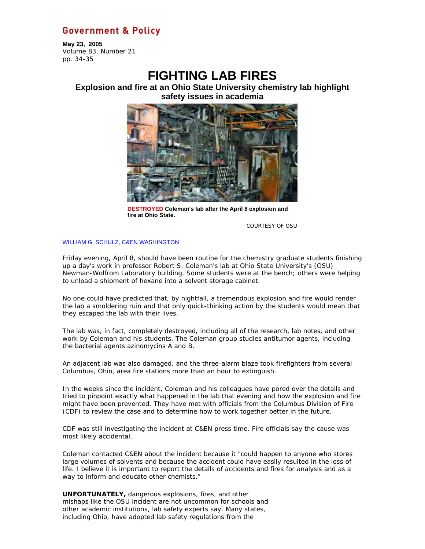## **Government & Policy**

**May 23, 2005**  Volume 83, Number 21 pp. 34-35

## **FIGHTING LAB FIRES**

**Explosion and fire at an Ohio State University chemistry lab highlight safety issues in academia** 



**DESTROYED Coleman's lab after the April 8 explosion and fire at Ohio State.**

COURTESY OF OSU

## WILLIAM G. SCHULZ, C&EN WASHINGTON

Friday evening, April 8, should have been routine for the chemistry graduate students finishing up a day's work in professor Robert S. Coleman's lab at Ohio State University's (OSU) Newman-Wolfrom Laboratory building. Some students were at the bench; others were helping to unload a shipment of hexane into a solvent storage cabinet.

No one could have predicted that, by nightfall, a tremendous explosion and fire would render the lab a smoldering ruin and that only quick-thinking action by the students would mean that they escaped the lab with their lives.

The lab was, in fact, completely destroyed, including all of the research, lab notes, and other work by Coleman and his students. The Coleman group studies antitumor agents, including the bacterial agents azinomycins A and B.

An adjacent lab was also damaged, and the three-alarm blaze took firefighters from several Columbus, Ohio, area fire stations more than an hour to extinguish.

In the weeks since the incident, Coleman and his colleagues have pored over the details and tried to pinpoint exactly what happened in the lab that evening and how the explosion and fire might have been prevented. They have met with officials from the Columbus Division of Fire (CDF) to review the case and to determine how to work together better in the future.

CDF was still investigating the incident at C&EN press time. Fire officials say the cause was most likely accidental.

Coleman contacted C&EN about the incident because it "could happen to anyone who stores large volumes of solvents and because the accident could have easily resulted in the loss of life. I believe it is important to report the details of accidents and fires for analysis and as a way to inform and educate other chemists."

**UNFORTUNATELY,** dangerous explosions, fires, and other mishaps like the OSU incident are not uncommon for schools and other academic institutions, lab safety experts say. Many states, including Ohio, have adopted lab safety regulations from the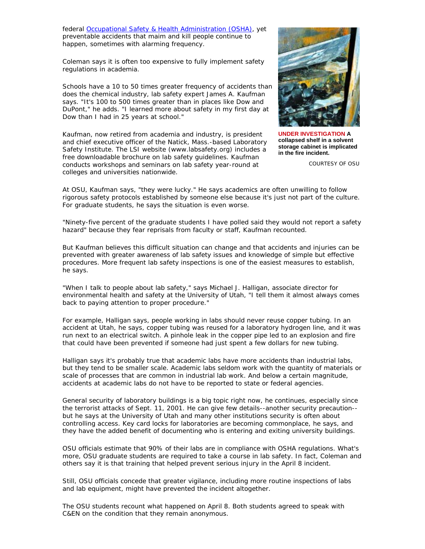federal Occupational Safety & Health Administration (OSHA), yet preventable accidents that maim and kill people continue to happen, sometimes with alarming frequency.

Coleman says it is often too expensive to fully implement safety regulations in academia.

Schools have a 10 to 50 times greater frequency of accidents than does the chemical industry, lab safety expert James A. Kaufman says. "It's 100 to 500 times greater than in places like Dow and DuPont," he adds. "I learned more about safety in my first day at Dow than I had in 25 years at school."

Kaufman, now retired from academia and industry, is president and chief executive officer of the Natick, Mass.-based Laboratory Safety Institute. The LSI website (www.labsafety.org) includes a free downloadable brochure on lab safety guidelines. Kaufman conducts workshops and seminars on lab safety year-round at colleges and universities nationwide.



**UNDER INVESTIGATION A collapsed shelf in a solvent storage cabinet is implicated in the fire incident.**

COURTESY OF OSU

At OSU, Kaufman says, "they were lucky." He says academics are often unwilling to follow rigorous safety protocols established by someone else because it's just not part of the culture. For graduate students, he says the situation is even worse.

"Ninety-five percent of the graduate students I have polled said they would not report a safety hazard" because they fear reprisals from faculty or staff, Kaufman recounted.

But Kaufman believes this difficult situation can change and that accidents and injuries can be prevented with greater awareness of lab safety issues and knowledge of simple but effective procedures. More frequent lab safety inspections is one of the easiest measures to establish, he says.

"When I talk to people about lab safety," says Michael J. Halligan, associate director for environmental health and safety at the University of Utah, "I tell them it almost always comes back to paying attention to proper procedure."

For example, Halligan says, people working in labs should never reuse copper tubing. In an accident at Utah, he says, copper tubing was reused for a laboratory hydrogen line, and it was run next to an electrical switch. A pinhole leak in the copper pipe led to an explosion and fire that could have been prevented if someone had just spent a few dollars for new tubing.

Halligan says it's probably true that academic labs have more accidents than industrial labs, but they tend to be smaller scale. Academic labs seldom work with the quantity of materials or scale of processes that are common in industrial lab work. And below a certain magnitude, accidents at academic labs do not have to be reported to state or federal agencies.

General security of laboratory buildings is a big topic right now, he continues, especially since the terrorist attacks of Sept. 11, 2001. He can give few details--another security precaution- but he says at the University of Utah and many other institutions security is often about controlling access. Key card locks for laboratories are becoming commonplace, he says, and they have the added benefit of documenting who is entering and exiting university buildings.

OSU officials estimate that 90% of their labs are in compliance with OSHA regulations. What's more, OSU graduate students are required to take a course in lab safety. In fact, Coleman and others say it is that training that helped prevent serious injury in the April 8 incident.

Still, OSU officials concede that greater vigilance, including more routine inspections of labs and lab equipment, might have prevented the incident altogether.

The OSU students recount what happened on April 8. Both students agreed to speak with C&EN on the condition that they remain anonymous.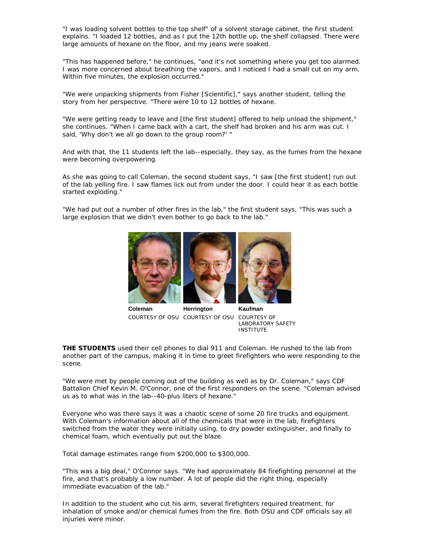"I was loading solvent bottles to the top shelf" of a solvent storage cabinet, the first student explains. "I loaded 12 bottles, and as I put the 12th bottle up, the shelf collapsed. There were large amounts of hexane on the floor, and my jeans were soaked.

"This has happened before," he continues, "and it's not something where you get too alarmed. I was more concerned about breathing the vapors, and I noticed I had a small cut on my arm. Within five minutes, the explosion occurred."

"We were unpacking shipments from Fisher [Scientific]," says another student, telling the story from her perspective. "There were 10 to 12 bottles of hexane.

"We were getting ready to leave and [the first student] offered to help unload the shipment," she continues. "When I came back with a cart, the shelf had broken and his arm was cut. I said, 'Why don't we all go down to the group room?' "

And with that, the 11 students left the lab--especially, they say, as the fumes from the hexane were becoming overpowering.

As she was going to call Coleman, the second student says, "I saw [the first student] run out of the lab yelling fire. I saw flames lick out from under the door. I could hear it as each bottle started exploding."

"We had put out a number of other fires in the lab," the first student says. "This was such a large explosion that we didn't even bother to go back to the lab."





**Coleman Herrington Kaufman** COURTESY OF OSU COURTESY OF OSU COURTESY OF

LABORATORY SAFETY INSTITUTE

**THE STUDENTS** used their cell phones to dial 911 and Coleman. He rushed to the lab from another part of the campus, making it in time to greet firefighters who were responding to the scene.

"We were met by people coming out of the building as well as by Dr. Coleman," says CDF Battalion Chief Kevin M. O'Connor, one of the first responders on the scene. "Coleman advised us as to what was in the lab--40-plus liters of hexane."

Everyone who was there says it was a chaotic scene of some 20 fire trucks and equipment. With Coleman's information about all of the chemicals that were in the lab, firefighters switched from the water they were initially using, to dry powder extinguisher, and finally to chemical foam, which eventually put out the blaze.

Total damage estimates range from \$200,000 to \$300,000.

"This was a big deal," O'Connor says. "We had approximately 84 firefighting personnel at the fire, and that's probably a low number. A lot of people did the right thing, especially immediate evacuation of the lab."

In addition to the student who cut his arm, several firefighters required treatment, for inhalation of smoke and/or chemical fumes from the fire. Both OSU and CDF officials say all injuries were minor.